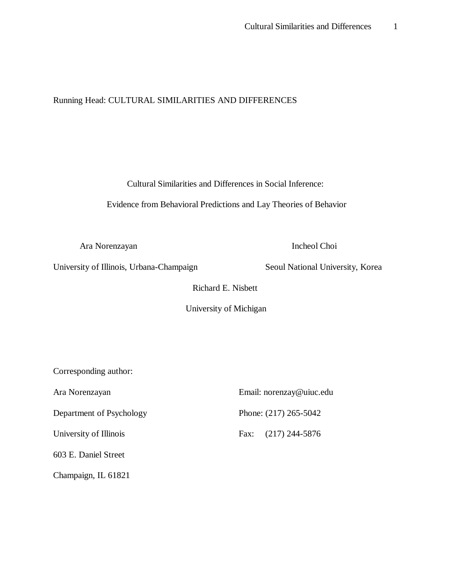# Running Head: CULTURAL SIMILARITIES AND DIFFERENCES

Cultural Similarities and Differences in Social Inference:

Evidence from Behavioral Predictions and Lay Theories of Behavior

Ara Norenzayan Incheol Choi

University of Illinois, Urbana-Champaign Seoul National University, Korea

Richard E. Nisbett

University of Michigan

Corresponding author:

Department of Psychology Phone: (217) 265-5042

603 E. Daniel Street

Champaign, IL 61821

Ara Norenzayan Email: norenzay@uiuc.edu University of Illinois Fax: (217) 244-5876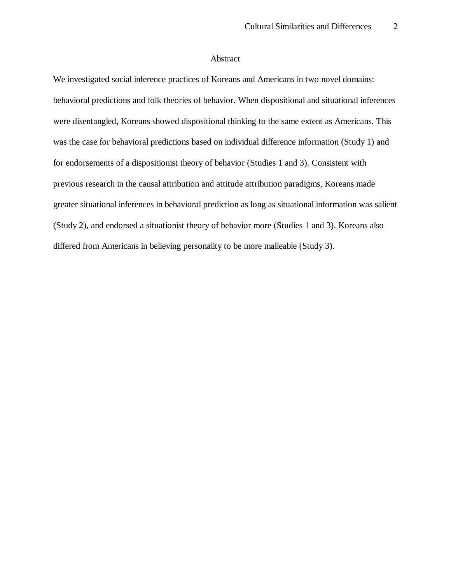### Abstract

We investigated social inference practices of Koreans and Americans in two novel domains: behavioral predictions and folk theories of behavior. When dispositional and situational inferences were disentangled, Koreans showed dispositional thinking to the same extent as Americans. This was the case for behavioral predictions based on individual difference information (Study 1) and for endorsements of a dispositionist theory of behavior (Studies 1 and 3). Consistent with previous research in the causal attribution and attitude attribution paradigms, Koreans made greater situational inferences in behavioral prediction as long as situational information was salient (Study 2), and endorsed a situationist theory of behavior more (Studies 1 and 3). Koreans also differed from Americans in believing personality to be more malleable (Study 3).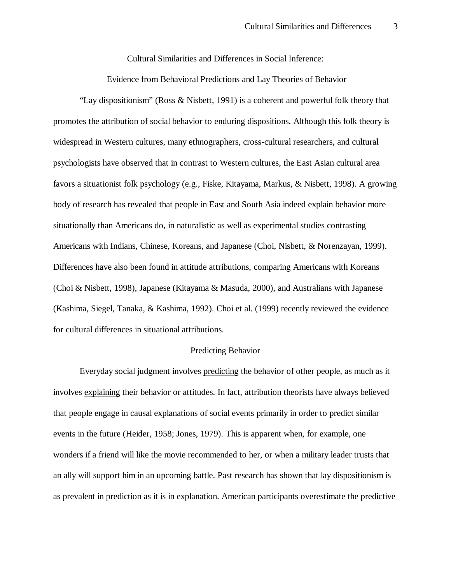Cultural Similarities and Differences in Social Inference:

Evidence from Behavioral Predictions and Lay Theories of Behavior

"Lay dispositionism" (Ross & Nisbett, 1991) is a coherent and powerful folk theory that promotes the attribution of social behavior to enduring dispositions. Although this folk theory is widespread in Western cultures, many ethnographers, cross-cultural researchers, and cultural psychologists have observed that in contrast to Western cultures, the East Asian cultural area favors a situationist folk psychology (e.g., Fiske, Kitayama, Markus, & Nisbett, 1998). A growing body of research has revealed that people in East and South Asia indeed explain behavior more situationally than Americans do, in naturalistic as well as experimental studies contrasting Americans with Indians, Chinese, Koreans, and Japanese (Choi, Nisbett, & Norenzayan, 1999). Differences have also been found in attitude attributions, comparing Americans with Koreans (Choi & Nisbett, 1998), Japanese (Kitayama & Masuda, 2000), and Australians with Japanese (Kashima, Siegel, Tanaka, & Kashima, 1992). Choi et al. (1999) recently reviewed the evidence for cultural differences in situational attributions.

### Predicting Behavior

Everyday social judgment involves predicting the behavior of other people, as much as it involves explaining their behavior or attitudes. In fact, attribution theorists have always believed that people engage in causal explanations of social events primarily in order to predict similar events in the future (Heider, 1958; Jones, 1979). This is apparent when, for example, one wonders if a friend will like the movie recommended to her, or when a military leader trusts that an ally will support him in an upcoming battle. Past research has shown that lay dispositionism is as prevalent in prediction as it is in explanation. American participants overestimate the predictive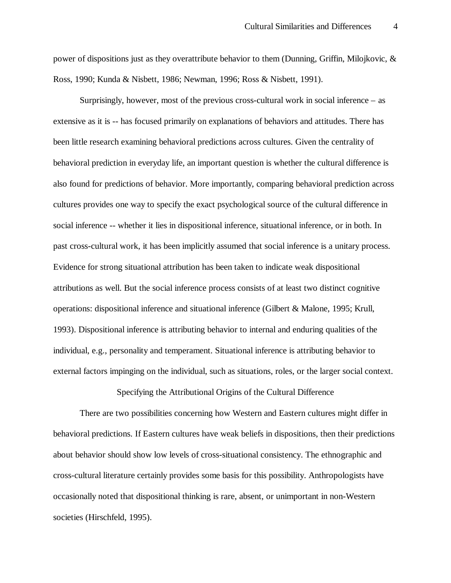power of dispositions just as they overattribute behavior to them (Dunning, Griffin, Milojkovic, & Ross, 1990; Kunda & Nisbett, 1986; Newman, 1996; Ross & Nisbett, 1991).

Surprisingly, however, most of the previous cross-cultural work in social inference – as extensive as it is -- has focused primarily on explanations of behaviors and attitudes. There has been little research examining behavioral predictions across cultures. Given the centrality of behavioral prediction in everyday life, an important question is whether the cultural difference is also found for predictions of behavior. More importantly, comparing behavioral prediction across cultures provides one way to specify the exact psychological source of the cultural difference in social inference -- whether it lies in dispositional inference, situational inference, or in both. In past cross-cultural work, it has been implicitly assumed that social inference is a unitary process. Evidence for strong situational attribution has been taken to indicate weak dispositional attributions as well. But the social inference process consists of at least two distinct cognitive operations: dispositional inference and situational inference (Gilbert & Malone, 1995; Krull, 1993). Dispositional inference is attributing behavior to internal and enduring qualities of the individual, e.g., personality and temperament. Situational inference is attributing behavior to external factors impinging on the individual, such as situations, roles, or the larger social context.

Specifying the Attributional Origins of the Cultural Difference

There are two possibilities concerning how Western and Eastern cultures might differ in behavioral predictions. If Eastern cultures have weak beliefs in dispositions, then their predictions about behavior should show low levels of cross-situational consistency. The ethnographic and cross-cultural literature certainly provides some basis for this possibility. Anthropologists have occasionally noted that dispositional thinking is rare, absent, or unimportant in non-Western societies (Hirschfeld, 1995).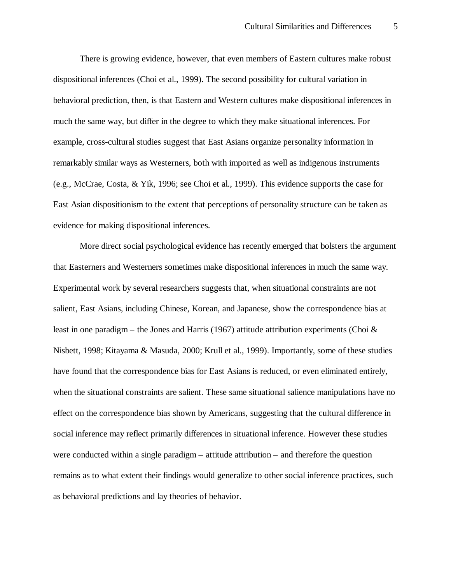There is growing evidence, however, that even members of Eastern cultures make robust dispositional inferences (Choi et al., 1999). The second possibility for cultural variation in behavioral prediction, then, is that Eastern and Western cultures make dispositional inferences in much the same way, but differ in the degree to which they make situational inferences. For example, cross-cultural studies suggest that East Asians organize personality information in remarkably similar ways as Westerners, both with imported as well as indigenous instruments (e.g., McCrae, Costa, & Yik, 1996; see Choi et al., 1999). This evidence supports the case for East Asian dispositionism to the extent that perceptions of personality structure can be taken as evidence for making dispositional inferences.

More direct social psychological evidence has recently emerged that bolsters the argument that Easterners and Westerners sometimes make dispositional inferences in much the same way. Experimental work by several researchers suggests that, when situational constraints are not salient, East Asians, including Chinese, Korean, and Japanese, show the correspondence bias at least in one paradigm – the Jones and Harris (1967) attitude attribution experiments (Choi  $\&$ Nisbett, 1998; Kitayama & Masuda, 2000; Krull et al., 1999). Importantly, some of these studies have found that the correspondence bias for East Asians is reduced, or even eliminated entirely, when the situational constraints are salient. These same situational salience manipulations have no effect on the correspondence bias shown by Americans, suggesting that the cultural difference in social inference may reflect primarily differences in situational inference. However these studies were conducted within a single paradigm – attitude attribution – and therefore the question remains as to what extent their findings would generalize to other social inference practices, such as behavioral predictions and lay theories of behavior.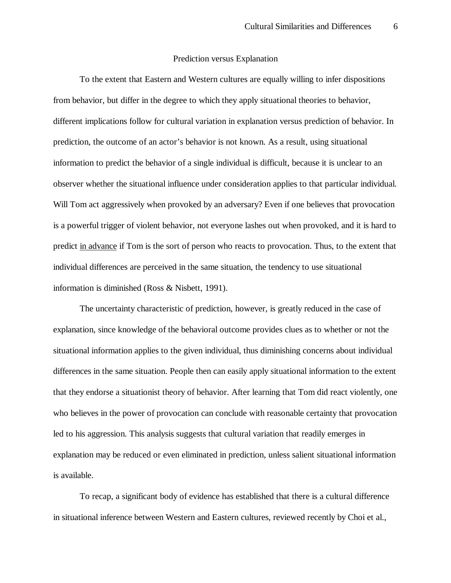#### Prediction versus Explanation

To the extent that Eastern and Western cultures are equally willing to infer dispositions from behavior, but differ in the degree to which they apply situational theories to behavior, different implications follow for cultural variation in explanation versus prediction of behavior. In prediction, the outcome of an actor's behavior is not known. As a result, using situational information to predict the behavior of a single individual is difficult, because it is unclear to an observer whether the situational influence under consideration applies to that particular individual. Will Tom act aggressively when provoked by an adversary? Even if one believes that provocation is a powerful trigger of violent behavior, not everyone lashes out when provoked, and it is hard to predict in advance if Tom is the sort of person who reacts to provocation. Thus, to the extent that individual differences are perceived in the same situation, the tendency to use situational information is diminished (Ross & Nisbett, 1991).

The uncertainty characteristic of prediction, however, is greatly reduced in the case of explanation, since knowledge of the behavioral outcome provides clues as to whether or not the situational information applies to the given individual, thus diminishing concerns about individual differences in the same situation. People then can easily apply situational information to the extent that they endorse a situationist theory of behavior. After learning that Tom did react violently, one who believes in the power of provocation can conclude with reasonable certainty that provocation led to his aggression. This analysis suggests that cultural variation that readily emerges in explanation may be reduced or even eliminated in prediction, unless salient situational information is available.

To recap, a significant body of evidence has established that there is a cultural difference in situational inference between Western and Eastern cultures, reviewed recently by Choi et al.,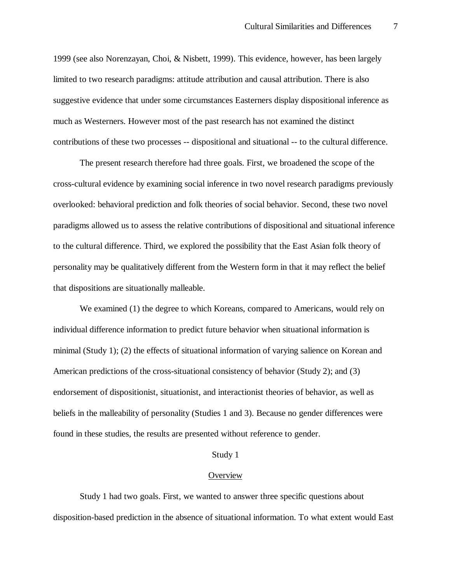1999 (see also Norenzayan, Choi, & Nisbett, 1999). This evidence, however, has been largely limited to two research paradigms: attitude attribution and causal attribution. There is also suggestive evidence that under some circumstances Easterners display dispositional inference as much as Westerners. However most of the past research has not examined the distinct contributions of these two processes -- dispositional and situational -- to the cultural difference.

The present research therefore had three goals. First, we broadened the scope of the cross-cultural evidence by examining social inference in two novel research paradigms previously overlooked: behavioral prediction and folk theories of social behavior. Second, these two novel paradigms allowed us to assess the relative contributions of dispositional and situational inference to the cultural difference. Third, we explored the possibility that the East Asian folk theory of personality may be qualitatively different from the Western form in that it may reflect the belief that dispositions are situationally malleable.

We examined (1) the degree to which Koreans, compared to Americans, would rely on individual difference information to predict future behavior when situational information is minimal (Study 1); (2) the effects of situational information of varying salience on Korean and American predictions of the cross-situational consistency of behavior (Study 2); and (3) endorsement of dispositionist, situationist, and interactionist theories of behavior, as well as beliefs in the malleability of personality (Studies 1 and 3). Because no gender differences were found in these studies, the results are presented without reference to gender.

#### Study 1

#### **Overview**

Study 1 had two goals. First, we wanted to answer three specific questions about disposition-based prediction in the absence of situational information. To what extent would East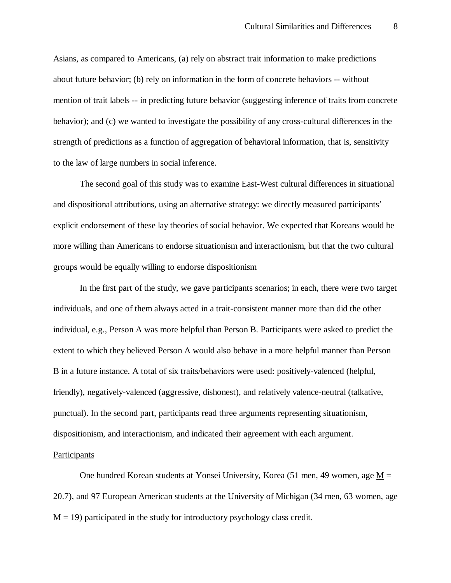Asians, as compared to Americans, (a) rely on abstract trait information to make predictions about future behavior; (b) rely on information in the form of concrete behaviors -- without mention of trait labels -- in predicting future behavior (suggesting inference of traits from concrete behavior); and (c) we wanted to investigate the possibility of any cross-cultural differences in the strength of predictions as a function of aggregation of behavioral information, that is, sensitivity to the law of large numbers in social inference.

The second goal of this study was to examine East-West cultural differences in situational and dispositional attributions, using an alternative strategy: we directly measured participants' explicit endorsement of these lay theories of social behavior. We expected that Koreans would be more willing than Americans to endorse situationism and interactionism, but that the two cultural groups would be equally willing to endorse dispositionism

In the first part of the study, we gave participants scenarios; in each, there were two target individuals, and one of them always acted in a trait-consistent manner more than did the other individual, e.g., Person A was more helpful than Person B. Participants were asked to predict the extent to which they believed Person A would also behave in a more helpful manner than Person B in a future instance. A total of six traits/behaviors were used: positively-valenced (helpful, friendly), negatively-valenced (aggressive, dishonest), and relatively valence-neutral (talkative, punctual). In the second part, participants read three arguments representing situationism, dispositionism, and interactionism, and indicated their agreement with each argument.

### Participants

One hundred Korean students at Yonsei University, Korea (51 men, 49 women, age  $M =$ 20.7), and 97 European American students at the University of Michigan (34 men, 63 women, age  $M = 19$ ) participated in the study for introductory psychology class credit.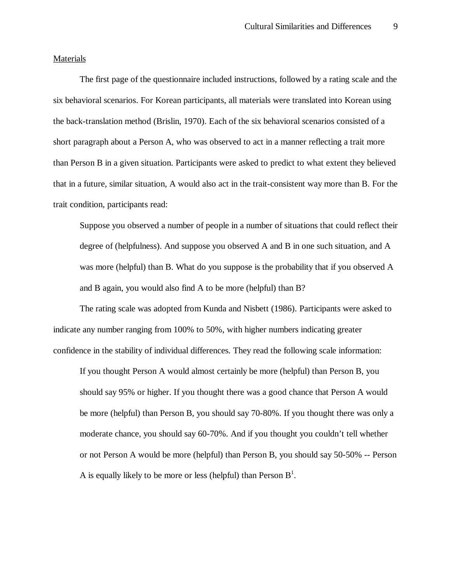### Materials

The first page of the questionnaire included instructions, followed by a rating scale and the six behavioral scenarios. For Korean participants, all materials were translated into Korean using the back-translation method (Brislin, 1970). Each of the six behavioral scenarios consisted of a short paragraph about a Person A, who was observed to act in a manner reflecting a trait more than Person B in a given situation. Participants were asked to predict to what extent they believed that in a future, similar situation, A would also act in the trait-consistent way more than B. For the trait condition, participants read:

Suppose you observed a number of people in a number of situations that could reflect their degree of (helpfulness). And suppose you observed A and B in one such situation, and A was more (helpful) than B. What do you suppose is the probability that if you observed A and B again, you would also find A to be more (helpful) than B?

The rating scale was adopted from Kunda and Nisbett (1986). Participants were asked to indicate any number ranging from 100% to 50%, with higher numbers indicating greater confidence in the stability of individual differences. They read the following scale information:

If you thought Person A would almost certainly be more (helpful) than Person B, you should say 95% or higher. If you thought there was a good chance that Person A would be more (helpful) than Person B, you should say 70-80%. If you thought there was only a moderate chance, you should say 60-70%. And if you thought you couldn't tell whether or not Person A would be more (helpful) than Person B, you should say 50-50% -- Person A is equally likely to be more or less (helpful) than Person  $B^1$ .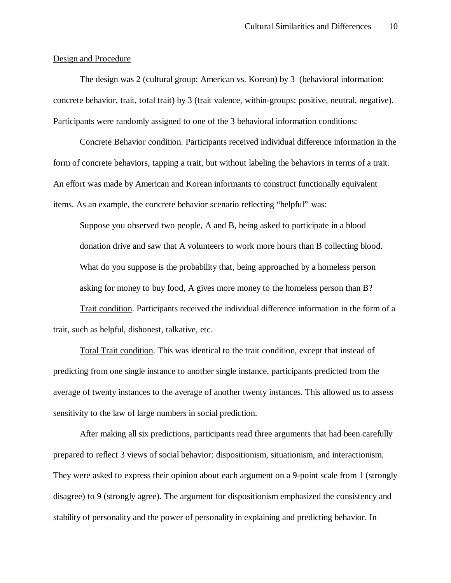### Design and Procedure

The design was 2 (cultural group: American vs. Korean) by 3 (behavioral information: concrete behavior, trait, total trait) by 3 (trait valence, within-groups: positive, neutral, negative). Participants were randomly assigned to one of the 3 behavioral information conditions:

Concrete Behavior condition. Participants received individual difference information in the form of concrete behaviors, tapping a trait, but without labeling the behaviors in terms of a trait. An effort was made by American and Korean informants to construct functionally equivalent items. As an example, the concrete behavior scenario reflecting "helpful" was:

Suppose you observed two people, A and B, being asked to participate in a blood donation drive and saw that A volunteers to work more hours than B collecting blood. What do you suppose is the probability that, being approached by a homeless person asking for money to buy food, A gives more money to the homeless person than B?

Trait condition. Participants received the individual difference information in the form of a trait, such as helpful, dishonest, talkative, etc.

Total Trait condition. This was identical to the trait condition, except that instead of predicting from one single instance to another single instance, participants predicted from the average of twenty instances to the average of another twenty instances. This allowed us to assess sensitivity to the law of large numbers in social prediction.

After making all six predictions, participants read three arguments that had been carefully prepared to reflect 3 views of social behavior: dispositionism, situationism, and interactionism. They were asked to express their opinion about each argument on a 9-point scale from 1 (strongly disagree) to 9 (strongly agree). The argument for dispositionism emphasized the consistency and stability of personality and the power of personality in explaining and predicting behavior. In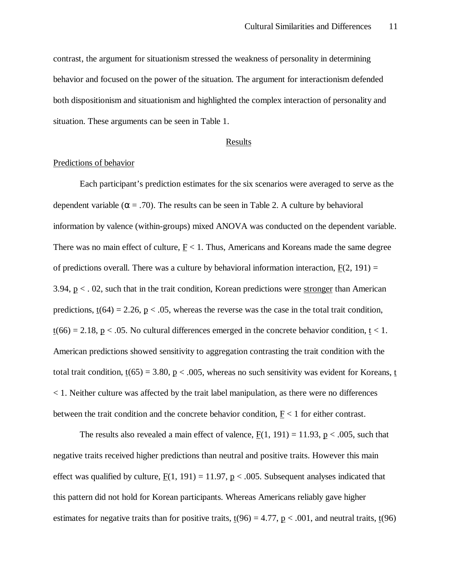contrast, the argument for situationism stressed the weakness of personality in determining behavior and focused on the power of the situation. The argument for interactionism defended both dispositionism and situationism and highlighted the complex interaction of personality and situation. These arguments can be seen in Table 1.

# Results

### Predictions of behavior

Each participant's prediction estimates for the six scenarios were averaged to serve as the dependent variable ( $\alpha$  = .70). The results can be seen in Table 2. A culture by behavioral information by valence (within-groups) mixed ANOVA was conducted on the dependent variable. There was no main effect of culture,  $F < 1$ . Thus, Americans and Koreans made the same degree of predictions overall. There was a culture by behavioral information interaction,  $F(2, 191) =$ 3.94,  $p < 0.02$ , such that in the trait condition, Korean predictions were stronger than American predictions,  $\underline{t}(64) = 2.26$ ,  $\underline{p} < .05$ , whereas the reverse was the case in the total trait condition,  $t(66) = 2.18$ , p < .05. No cultural differences emerged in the concrete behavior condition, t < 1. American predictions showed sensitivity to aggregation contrasting the trait condition with the total trait condition,  $t(65) = 3.80$ ,  $p < .005$ , whereas no such sensitivity was evident for Koreans, t < 1. Neither culture was affected by the trait label manipulation, as there were no differences between the trait condition and the concrete behavior condition,  $F < 1$  for either contrast.

The results also revealed a main effect of valence,  $F(1, 191) = 11.93$ ,  $p < .005$ , such that negative traits received higher predictions than neutral and positive traits. However this main effect was qualified by culture,  $F(1, 191) = 11.97$ ,  $p < .005$ . Subsequent analyses indicated that this pattern did not hold for Korean participants. Whereas Americans reliably gave higher estimates for negative traits than for positive traits,  $t(96) = 4.77$ ,  $p < .001$ , and neutral traits,  $t(96)$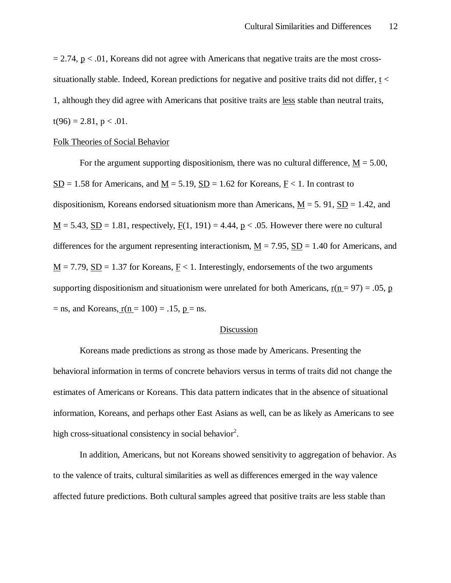$= 2.74$ ,  $p < .01$ , Koreans did not agree with Americans that negative traits are the most crosssituationally stable. Indeed, Korean predictions for negative and positive traits did not differ, t < 1, although they did agree with Americans that positive traits are less stable than neutral traits,  $t(96) = 2.81, p < .01.$ 

### Folk Theories of Social Behavior

For the argument supporting dispositionism, there was no cultural difference,  $M = 5.00$ ,  $SD = 1.58$  for Americans, and  $M = 5.19$ ,  $SD = 1.62$  for Koreans,  $F < 1$ . In contrast to dispositionism, Koreans endorsed situationism more than Americans,  $M = 5.91$ ,  $SD = 1.42$ , and  $\underline{M} = 5.43$ ,  $\underline{SD} = 1.81$ , respectively,  $\underline{F}(1, 191) = 4.44$ ,  $\underline{p} < .05$ . However there were no cultural differences for the argument representing interactionism,  $M = 7.95$ ,  $SD = 1.40$  for Americans, and  $\underline{M} = 7.79$ ,  $\underline{SD} = 1.37$  for Koreans,  $\underline{F} < 1$ . Interestingly, endorsements of the two arguments supporting dispositionism and situationism were unrelated for both Americans,  $r(n = 97) = .05$ , p  $=$  ns, and Koreans, r(n  $= 100$ )  $= .15$ , p  $=$  ns.

### Discussion

Koreans made predictions as strong as those made by Americans. Presenting the behavioral information in terms of concrete behaviors versus in terms of traits did not change the estimates of Americans or Koreans. This data pattern indicates that in the absence of situational information, Koreans, and perhaps other East Asians as well, can be as likely as Americans to see high cross-situational consistency in social behavior<sup>2</sup>.

In addition, Americans, but not Koreans showed sensitivity to aggregation of behavior. As to the valence of traits, cultural similarities as well as differences emerged in the way valence affected future predictions. Both cultural samples agreed that positive traits are less stable than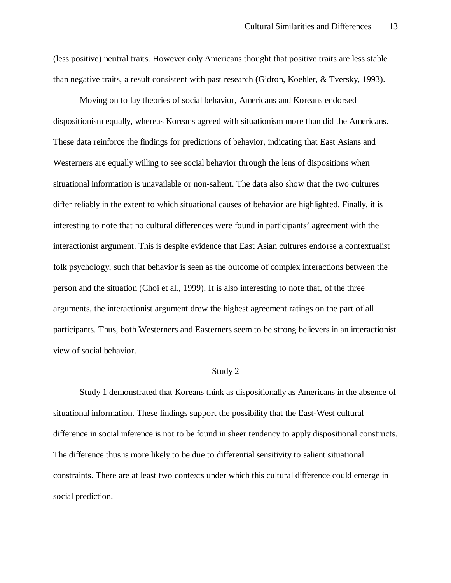(less positive) neutral traits. However only Americans thought that positive traits are less stable than negative traits, a result consistent with past research (Gidron, Koehler, & Tversky, 1993).

Moving on to lay theories of social behavior, Americans and Koreans endorsed dispositionism equally, whereas Koreans agreed with situationism more than did the Americans. These data reinforce the findings for predictions of behavior, indicating that East Asians and Westerners are equally willing to see social behavior through the lens of dispositions when situational information is unavailable or non-salient. The data also show that the two cultures differ reliably in the extent to which situational causes of behavior are highlighted. Finally, it is interesting to note that no cultural differences were found in participants' agreement with the interactionist argument. This is despite evidence that East Asian cultures endorse a contextualist folk psychology, such that behavior is seen as the outcome of complex interactions between the person and the situation (Choi et al., 1999). It is also interesting to note that, of the three arguments, the interactionist argument drew the highest agreement ratings on the part of all participants. Thus, both Westerners and Easterners seem to be strong believers in an interactionist view of social behavior.

#### Study 2

Study 1 demonstrated that Koreans think as dispositionally as Americans in the absence of situational information. These findings support the possibility that the East-West cultural difference in social inference is not to be found in sheer tendency to apply dispositional constructs. The difference thus is more likely to be due to differential sensitivity to salient situational constraints. There are at least two contexts under which this cultural difference could emerge in social prediction.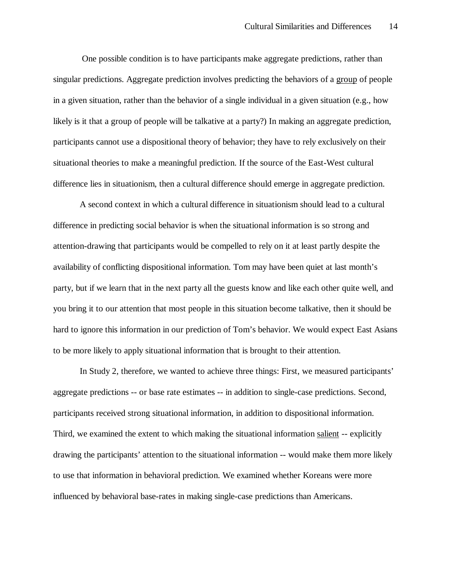One possible condition is to have participants make aggregate predictions, rather than singular predictions. Aggregate prediction involves predicting the behaviors of a group of people in a given situation, rather than the behavior of a single individual in a given situation (e.g., how likely is it that a group of people will be talkative at a party?) In making an aggregate prediction, participants cannot use a dispositional theory of behavior; they have to rely exclusively on their situational theories to make a meaningful prediction. If the source of the East-West cultural difference lies in situationism, then a cultural difference should emerge in aggregate prediction.

A second context in which a cultural difference in situationism should lead to a cultural difference in predicting social behavior is when the situational information is so strong and attention-drawing that participants would be compelled to rely on it at least partly despite the availability of conflicting dispositional information. Tom may have been quiet at last month's party, but if we learn that in the next party all the guests know and like each other quite well, and you bring it to our attention that most people in this situation become talkative, then it should be hard to ignore this information in our prediction of Tom's behavior. We would expect East Asians to be more likely to apply situational information that is brought to their attention.

In Study 2, therefore, we wanted to achieve three things: First, we measured participants' aggregate predictions -- or base rate estimates -- in addition to single-case predictions. Second, participants received strong situational information, in addition to dispositional information. Third, we examined the extent to which making the situational information salient -- explicitly drawing the participants' attention to the situational information -- would make them more likely to use that information in behavioral prediction. We examined whether Koreans were more influenced by behavioral base-rates in making single-case predictions than Americans.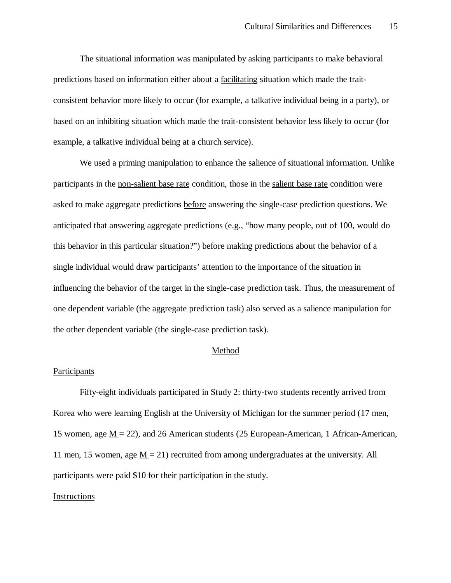The situational information was manipulated by asking participants to make behavioral predictions based on information either about a facilitating situation which made the traitconsistent behavior more likely to occur (for example, a talkative individual being in a party), or based on an inhibiting situation which made the trait-consistent behavior less likely to occur (for example, a talkative individual being at a church service).

We used a priming manipulation to enhance the salience of situational information. Unlike participants in the non-salient base rate condition, those in the salient base rate condition were asked to make aggregate predictions before answering the single-case prediction questions. We anticipated that answering aggregate predictions (e.g., "how many people, out of 100, would do this behavior in this particular situation?") before making predictions about the behavior of a single individual would draw participants' attention to the importance of the situation in influencing the behavior of the target in the single-case prediction task. Thus, the measurement of one dependent variable (the aggregate prediction task) also served as a salience manipulation for the other dependent variable (the single-case prediction task).

### Method

#### **Participants**

Fifty-eight individuals participated in Study 2: thirty-two students recently arrived from Korea who were learning English at the University of Michigan for the summer period (17 men, 15 women, age M = 22), and 26 American students (25 European-American, 1 African-American, 11 men, 15 women, age  $M = 21$ ) recruited from among undergraduates at the university. All participants were paid \$10 for their participation in the study.

### **Instructions**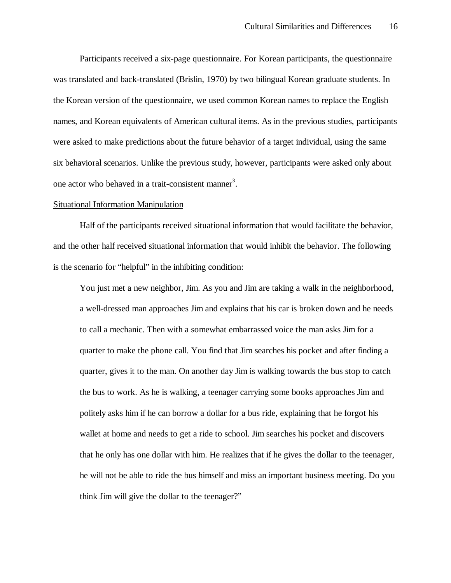Participants received a six-page questionnaire. For Korean participants, the questionnaire was translated and back-translated (Brislin, 1970) by two bilingual Korean graduate students. In the Korean version of the questionnaire, we used common Korean names to replace the English names, and Korean equivalents of American cultural items. As in the previous studies, participants were asked to make predictions about the future behavior of a target individual, using the same six behavioral scenarios. Unlike the previous study, however, participants were asked only about one actor who behaved in a trait-consistent manner<sup>3</sup>.

### Situational Information Manipulation

Half of the participants received situational information that would facilitate the behavior, and the other half received situational information that would inhibit the behavior. The following is the scenario for "helpful" in the inhibiting condition:

You just met a new neighbor, Jim. As you and Jim are taking a walk in the neighborhood, a well-dressed man approaches Jim and explains that his car is broken down and he needs to call a mechanic. Then with a somewhat embarrassed voice the man asks Jim for a quarter to make the phone call. You find that Jim searches his pocket and after finding a quarter, gives it to the man. On another day Jim is walking towards the bus stop to catch the bus to work. As he is walking, a teenager carrying some books approaches Jim and politely asks him if he can borrow a dollar for a bus ride, explaining that he forgot his wallet at home and needs to get a ride to school. Jim searches his pocket and discovers that he only has one dollar with him. He realizes that if he gives the dollar to the teenager, he will not be able to ride the bus himself and miss an important business meeting. Do you think Jim will give the dollar to the teenager?"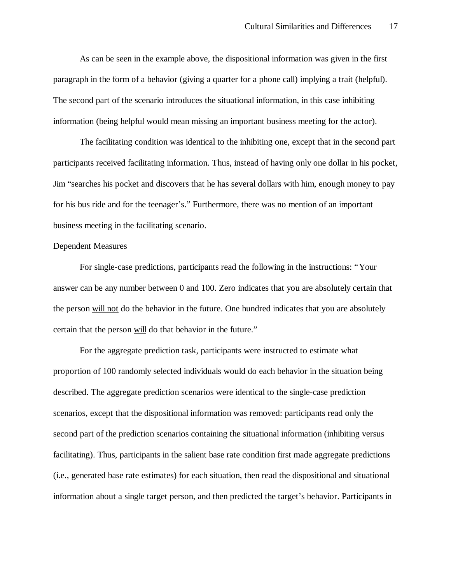As can be seen in the example above, the dispositional information was given in the first paragraph in the form of a behavior (giving a quarter for a phone call) implying a trait (helpful). The second part of the scenario introduces the situational information, in this case inhibiting information (being helpful would mean missing an important business meeting for the actor).

The facilitating condition was identical to the inhibiting one, except that in the second part participants received facilitating information. Thus, instead of having only one dollar in his pocket, Jim "searches his pocket and discovers that he has several dollars with him, enough money to pay for his bus ride and for the teenager's." Furthermore, there was no mention of an important business meeting in the facilitating scenario.

#### Dependent Measures

For single-case predictions, participants read the following in the instructions: "Your answer can be any number between 0 and 100. Zero indicates that you are absolutely certain that the person will not do the behavior in the future. One hundred indicates that you are absolutely certain that the person will do that behavior in the future."

For the aggregate prediction task, participants were instructed to estimate what proportion of 100 randomly selected individuals would do each behavior in the situation being described. The aggregate prediction scenarios were identical to the single-case prediction scenarios, except that the dispositional information was removed: participants read only the second part of the prediction scenarios containing the situational information (inhibiting versus facilitating). Thus, participants in the salient base rate condition first made aggregate predictions (i.e., generated base rate estimates) for each situation, then read the dispositional and situational information about a single target person, and then predicted the target's behavior. Participants in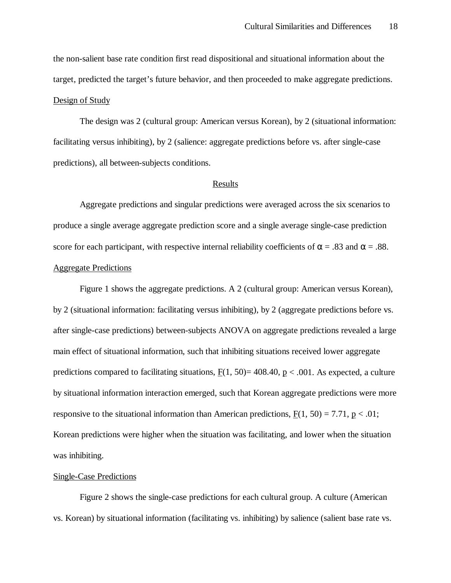the non-salient base rate condition first read dispositional and situational information about the target, predicted the target's future behavior, and then proceeded to make aggregate predictions. Design of Study

The design was 2 (cultural group: American versus Korean), by 2 (situational information: facilitating versus inhibiting), by 2 (salience: aggregate predictions before vs. after single-case predictions), all between-subjects conditions.

# Results

Aggregate predictions and singular predictions were averaged across the six scenarios to produce a single average aggregate prediction score and a single average single-case prediction score for each participant, with respective internal reliability coefficients of  $\alpha = .83$  and  $\alpha = .88$ . Aggregate Predictions

Figure 1 shows the aggregate predictions. A 2 (cultural group: American versus Korean), by 2 (situational information: facilitating versus inhibiting), by 2 (aggregate predictions before vs. after single-case predictions) between-subjects ANOVA on aggregate predictions revealed a large main effect of situational information, such that inhibiting situations received lower aggregate predictions compared to facilitating situations,  $F(1, 50) = 408.40$ ,  $p < .001$ . As expected, a culture by situational information interaction emerged, such that Korean aggregate predictions were more responsive to the situational information than American predictions,  $F(1, 50) = 7.71$ ,  $p < .01$ ; Korean predictions were higher when the situation was facilitating, and lower when the situation was inhibiting.

#### Single-Case Predictions

Figure 2 shows the single-case predictions for each cultural group. A culture (American vs. Korean) by situational information (facilitating vs. inhibiting) by salience (salient base rate vs.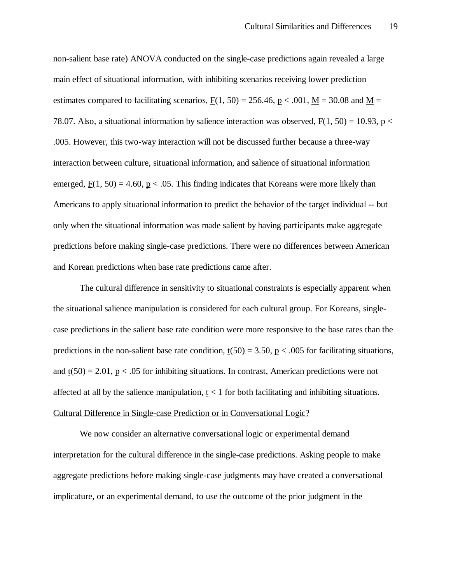non-salient base rate) ANOVA conducted on the single-case predictions again revealed a large main effect of situational information, with inhibiting scenarios receiving lower prediction estimates compared to facilitating scenarios,  $F(1, 50) = 256.46$ , p < .001, M = 30.08 and M = 78.07. Also, a situational information by salience interaction was observed,  $F(1, 50) = 10.93$ ,  $p <$ .005. However, this two-way interaction will not be discussed further because a three-way interaction between culture, situational information, and salience of situational information emerged,  $F(1, 50) = 4.60$ , p < .05. This finding indicates that Koreans were more likely than Americans to apply situational information to predict the behavior of the target individual -- but only when the situational information was made salient by having participants make aggregate predictions before making single-case predictions. There were no differences between American and Korean predictions when base rate predictions came after.

The cultural difference in sensitivity to situational constraints is especially apparent when the situational salience manipulation is considered for each cultural group. For Koreans, singlecase predictions in the salient base rate condition were more responsive to the base rates than the predictions in the non-salient base rate condition,  $t(50) = 3.50$ ,  $p < .005$  for facilitating situations, and  $t(50) = 2.01$ , p < .05 for inhibiting situations. In contrast, American predictions were not affected at all by the salience manipulation,  $t < 1$  for both facilitating and inhibiting situations. Cultural Difference in Single-case Prediction or in Conversational Logic?

We now consider an alternative conversational logic or experimental demand interpretation for the cultural difference in the single-case predictions. Asking people to make aggregate predictions before making single-case judgments may have created a conversational implicature, or an experimental demand, to use the outcome of the prior judgment in the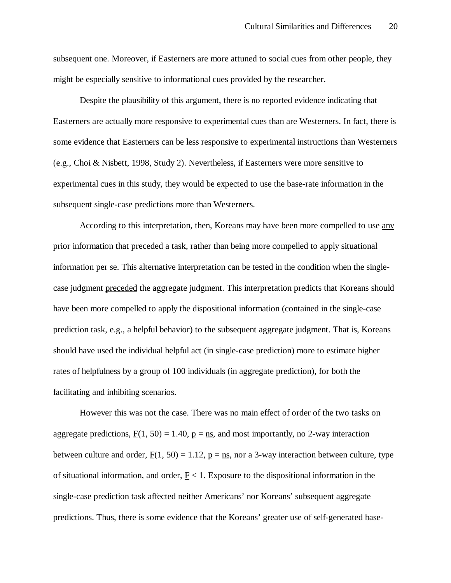subsequent one. Moreover, if Easterners are more attuned to social cues from other people, they might be especially sensitive to informational cues provided by the researcher.

Despite the plausibility of this argument, there is no reported evidence indicating that Easterners are actually more responsive to experimental cues than are Westerners. In fact, there is some evidence that Easterners can be less responsive to experimental instructions than Westerners (e.g., Choi & Nisbett, 1998, Study 2). Nevertheless, if Easterners were more sensitive to experimental cues in this study, they would be expected to use the base-rate information in the subsequent single-case predictions more than Westerners.

According to this interpretation, then, Koreans may have been more compelled to use any prior information that preceded a task, rather than being more compelled to apply situational information per se. This alternative interpretation can be tested in the condition when the singlecase judgment preceded the aggregate judgment. This interpretation predicts that Koreans should have been more compelled to apply the dispositional information (contained in the single-case prediction task, e.g., a helpful behavior) to the subsequent aggregate judgment. That is, Koreans should have used the individual helpful act (in single-case prediction) more to estimate higher rates of helpfulness by a group of 100 individuals (in aggregate prediction), for both the facilitating and inhibiting scenarios.

However this was not the case. There was no main effect of order of the two tasks on aggregate predictions,  $F(1, 50) = 1.40$ ,  $p = ns$ , and most importantly, no 2-way interaction between culture and order,  $F(1, 50) = 1.12$ ,  $p = ns$ , nor a 3-way interaction between culture, type of situational information, and order,  $F < 1$ . Exposure to the dispositional information in the single-case prediction task affected neither Americans' nor Koreans' subsequent aggregate predictions. Thus, there is some evidence that the Koreans' greater use of self-generated base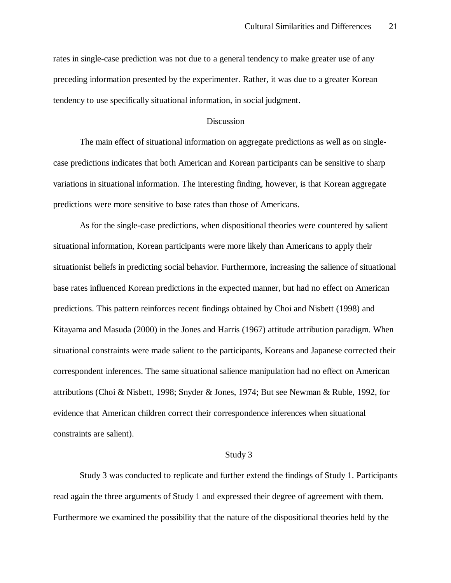rates in single-case prediction was not due to a general tendency to make greater use of any preceding information presented by the experimenter. Rather, it was due to a greater Korean tendency to use specifically situational information, in social judgment.

### **Discussion**

The main effect of situational information on aggregate predictions as well as on singlecase predictions indicates that both American and Korean participants can be sensitive to sharp variations in situational information. The interesting finding, however, is that Korean aggregate predictions were more sensitive to base rates than those of Americans.

As for the single-case predictions, when dispositional theories were countered by salient situational information, Korean participants were more likely than Americans to apply their situationist beliefs in predicting social behavior. Furthermore, increasing the salience of situational base rates influenced Korean predictions in the expected manner, but had no effect on American predictions. This pattern reinforces recent findings obtained by Choi and Nisbett (1998) and Kitayama and Masuda (2000) in the Jones and Harris (1967) attitude attribution paradigm. When situational constraints were made salient to the participants, Koreans and Japanese corrected their correspondent inferences. The same situational salience manipulation had no effect on American attributions (Choi & Nisbett, 1998; Snyder & Jones, 1974; But see Newman & Ruble, 1992, for evidence that American children correct their correspondence inferences when situational constraints are salient).

### Study 3

Study 3 was conducted to replicate and further extend the findings of Study 1. Participants read again the three arguments of Study 1 and expressed their degree of agreement with them. Furthermore we examined the possibility that the nature of the dispositional theories held by the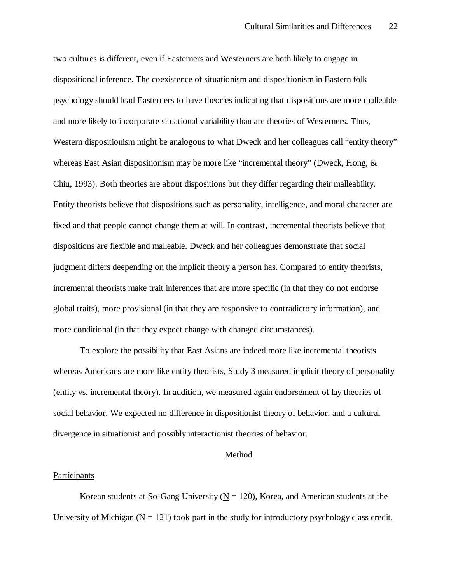two cultures is different, even if Easterners and Westerners are both likely to engage in dispositional inference. The coexistence of situationism and dispositionism in Eastern folk psychology should lead Easterners to have theories indicating that dispositions are more malleable and more likely to incorporate situational variability than are theories of Westerners. Thus, Western dispositionism might be analogous to what Dweck and her colleagues call "entity theory" whereas East Asian dispositionism may be more like "incremental theory" (Dweck, Hong, & Chiu, 1993). Both theories are about dispositions but they differ regarding their malleability. Entity theorists believe that dispositions such as personality, intelligence, and moral character are fixed and that people cannot change them at will. In contrast, incremental theorists believe that dispositions are flexible and malleable. Dweck and her colleagues demonstrate that social judgment differs deepending on the implicit theory a person has. Compared to entity theorists, incremental theorists make trait inferences that are more specific (in that they do not endorse global traits), more provisional (in that they are responsive to contradictory information), and more conditional (in that they expect change with changed circumstances).

To explore the possibility that East Asians are indeed more like incremental theorists whereas Americans are more like entity theorists, Study 3 measured implicit theory of personality (entity vs. incremental theory). In addition, we measured again endorsement of lay theories of social behavior. We expected no difference in dispositionist theory of behavior, and a cultural divergence in situationist and possibly interactionist theories of behavior.

### Method

#### Participants

Korean students at So-Gang University ( $N = 120$ ), Korea, and American students at the University of Michigan ( $N = 121$ ) took part in the study for introductory psychology class credit.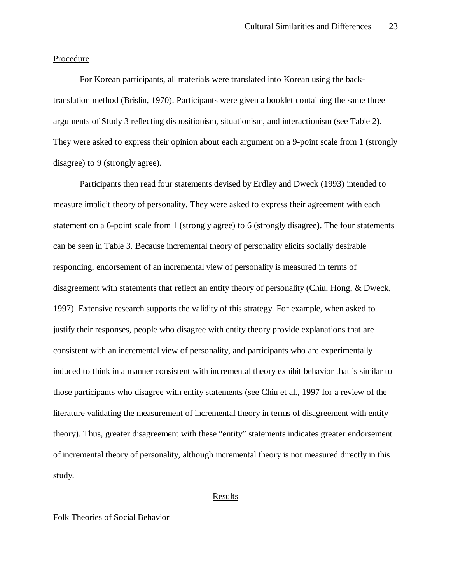### Procedure

For Korean participants, all materials were translated into Korean using the backtranslation method (Brislin, 1970). Participants were given a booklet containing the same three arguments of Study 3 reflecting dispositionism, situationism, and interactionism (see Table 2). They were asked to express their opinion about each argument on a 9-point scale from 1 (strongly disagree) to 9 (strongly agree).

Participants then read four statements devised by Erdley and Dweck (1993) intended to measure implicit theory of personality. They were asked to express their agreement with each statement on a 6-point scale from 1 (strongly agree) to 6 (strongly disagree). The four statements can be seen in Table 3. Because incremental theory of personality elicits socially desirable responding, endorsement of an incremental view of personality is measured in terms of disagreement with statements that reflect an entity theory of personality (Chiu, Hong, & Dweck, 1997). Extensive research supports the validity of this strategy. For example, when asked to justify their responses, people who disagree with entity theory provide explanations that are consistent with an incremental view of personality, and participants who are experimentally induced to think in a manner consistent with incremental theory exhibit behavior that is similar to those participants who disagree with entity statements (see Chiu et al., 1997 for a review of the literature validating the measurement of incremental theory in terms of disagreement with entity theory). Thus, greater disagreement with these "entity" statements indicates greater endorsement of incremental theory of personality, although incremental theory is not measured directly in this study.

### Results

### Folk Theories of Social Behavior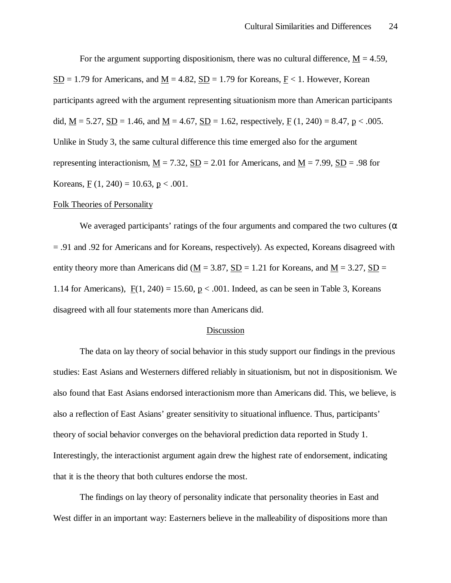For the argument supporting dispositionism, there was no cultural difference,  $M = 4.59$ ,  $S<sub>D</sub>$  = 1.79 for Americans, and <u>M</u> = 4.82,  $S<sub>D</sub>$  = 1.79 for Koreans,  $F<sub>1</sub>$ . However, Korean participants agreed with the argument representing situationism more than American participants did,  $\underline{M} = 5.27$ ,  $\underline{SD} = 1.46$ , and  $\underline{M} = 4.67$ ,  $\underline{SD} = 1.62$ , respectively,  $\underline{F}$  (1, 240) = 8.47,  $\underline{p}$  < .005. Unlike in Study 3, the same cultural difference this time emerged also for the argument representing interactionism,  $\underline{M} = 7.32$ ,  $\underline{SD} = 2.01$  for Americans, and  $\underline{M} = 7.99$ ,  $\underline{SD} = .98$  for Koreans,  $\underline{F}(1, 240) = 10.63$ ,  $\underline{p} < .001$ .

### Folk Theories of Personality

We averaged participants' ratings of the four arguments and compared the two cultures ( $\alpha$ ) = .91 and .92 for Americans and for Koreans, respectively). As expected, Koreans disagreed with entity theory more than Americans did ( $M = 3.87$ , SD = 1.21 for Koreans, and  $M = 3.27$ , SD = 1.14 for Americans),  $F(1, 240) = 15.60$ ,  $p < .001$ . Indeed, as can be seen in Table 3, Koreans disagreed with all four statements more than Americans did.

### Discussion

The data on lay theory of social behavior in this study support our findings in the previous studies: East Asians and Westerners differed reliably in situationism, but not in dispositionism. We also found that East Asians endorsed interactionism more than Americans did. This, we believe, is also a reflection of East Asians' greater sensitivity to situational influence. Thus, participants' theory of social behavior converges on the behavioral prediction data reported in Study 1. Interestingly, the interactionist argument again drew the highest rate of endorsement, indicating that it is the theory that both cultures endorse the most.

The findings on lay theory of personality indicate that personality theories in East and West differ in an important way: Easterners believe in the malleability of dispositions more than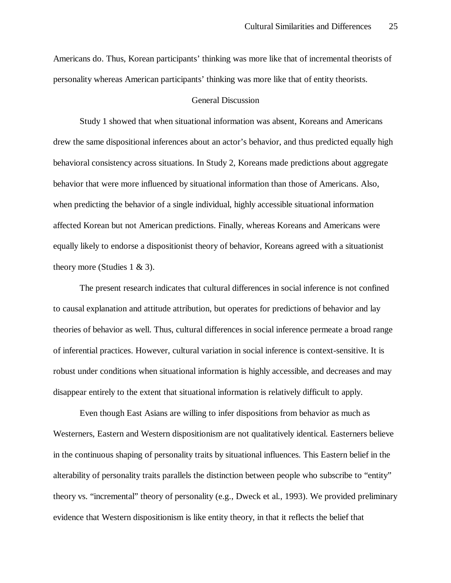Americans do. Thus, Korean participants' thinking was more like that of incremental theorists of personality whereas American participants' thinking was more like that of entity theorists.

### General Discussion

Study 1 showed that when situational information was absent, Koreans and Americans drew the same dispositional inferences about an actor's behavior, and thus predicted equally high behavioral consistency across situations. In Study 2, Koreans made predictions about aggregate behavior that were more influenced by situational information than those of Americans. Also, when predicting the behavior of a single individual, highly accessible situational information affected Korean but not American predictions. Finally, whereas Koreans and Americans were equally likely to endorse a dispositionist theory of behavior, Koreans agreed with a situationist theory more (Studies 1  $\&$  3).

The present research indicates that cultural differences in social inference is not confined to causal explanation and attitude attribution, but operates for predictions of behavior and lay theories of behavior as well. Thus, cultural differences in social inference permeate a broad range of inferential practices. However, cultural variation in social inference is context-sensitive. It is robust under conditions when situational information is highly accessible, and decreases and may disappear entirely to the extent that situational information is relatively difficult to apply.

Even though East Asians are willing to infer dispositions from behavior as much as Westerners, Eastern and Western dispositionism are not qualitatively identical. Easterners believe in the continuous shaping of personality traits by situational influences. This Eastern belief in the alterability of personality traits parallels the distinction between people who subscribe to "entity" theory vs. "incremental" theory of personality (e.g., Dweck et al., 1993). We provided preliminary evidence that Western dispositionism is like entity theory, in that it reflects the belief that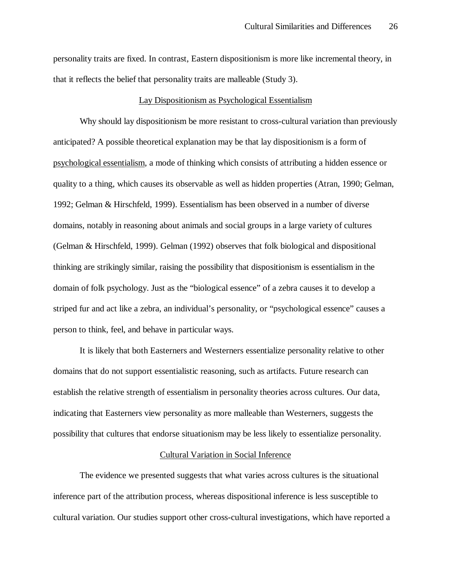personality traits are fixed. In contrast, Eastern dispositionism is more like incremental theory, in that it reflects the belief that personality traits are malleable (Study 3).

### Lay Dispositionism as Psychological Essentialism

Why should lay dispositionism be more resistant to cross-cultural variation than previously anticipated? A possible theoretical explanation may be that lay dispositionism is a form of psychological essentialism, a mode of thinking which consists of attributing a hidden essence or quality to a thing, which causes its observable as well as hidden properties (Atran, 1990; Gelman, 1992; Gelman & Hirschfeld, 1999). Essentialism has been observed in a number of diverse domains, notably in reasoning about animals and social groups in a large variety of cultures (Gelman & Hirschfeld, 1999). Gelman (1992) observes that folk biological and dispositional thinking are strikingly similar, raising the possibility that dispositionism is essentialism in the domain of folk psychology. Just as the "biological essence" of a zebra causes it to develop a striped fur and act like a zebra, an individual's personality, or "psychological essence" causes a person to think, feel, and behave in particular ways.

It is likely that both Easterners and Westerners essentialize personality relative to other domains that do not support essentialistic reasoning, such as artifacts. Future research can establish the relative strength of essentialism in personality theories across cultures. Our data, indicating that Easterners view personality as more malleable than Westerners, suggests the possibility that cultures that endorse situationism may be less likely to essentialize personality.

### Cultural Variation in Social Inference

The evidence we presented suggests that what varies across cultures is the situational inference part of the attribution process, whereas dispositional inference is less susceptible to cultural variation. Our studies support other cross-cultural investigations, which have reported a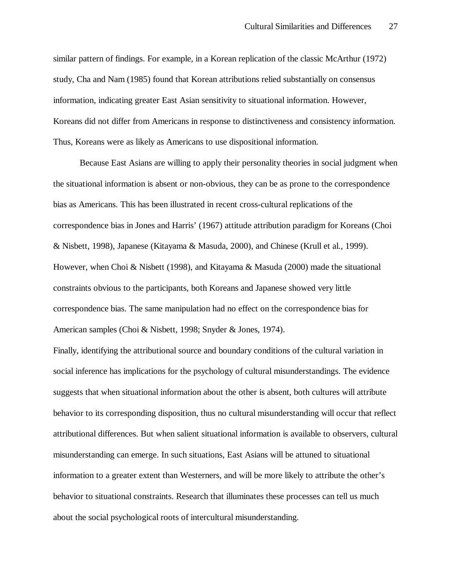similar pattern of findings. For example, in a Korean replication of the classic McArthur (1972) study, Cha and Nam (1985) found that Korean attributions relied substantially on consensus information, indicating greater East Asian sensitivity to situational information. However, Koreans did not differ from Americans in response to distinctiveness and consistency information. Thus, Koreans were as likely as Americans to use dispositional information.

Because East Asians are willing to apply their personality theories in social judgment when the situational information is absent or non-obvious, they can be as prone to the correspondence bias as Americans. This has been illustrated in recent cross-cultural replications of the correspondence bias in Jones and Harris' (1967) attitude attribution paradigm for Koreans (Choi & Nisbett, 1998), Japanese (Kitayama & Masuda, 2000), and Chinese (Krull et al., 1999). However, when Choi & Nisbett (1998), and Kitayama & Masuda (2000) made the situational constraints obvious to the participants, both Koreans and Japanese showed very little correspondence bias. The same manipulation had no effect on the correspondence bias for American samples (Choi & Nisbett, 1998; Snyder & Jones, 1974).

Finally, identifying the attributional source and boundary conditions of the cultural variation in social inference has implications for the psychology of cultural misunderstandings. The evidence suggests that when situational information about the other is absent, both cultures will attribute behavior to its corresponding disposition, thus no cultural misunderstanding will occur that reflect attributional differences. But when salient situational information is available to observers, cultural misunderstanding can emerge. In such situations, East Asians will be attuned to situational information to a greater extent than Westerners, and will be more likely to attribute the other's behavior to situational constraints. Research that illuminates these processes can tell us much about the social psychological roots of intercultural misunderstanding.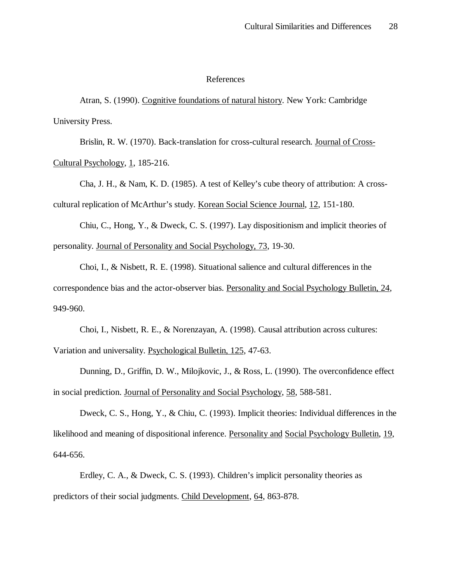#### References

Atran, S. (1990). Cognitive foundations of natural history. New York: Cambridge University Press.

Brislin, R. W. (1970). Back-translation for cross-cultural research. Journal of Cross-Cultural Psychology, 1, 185-216.

Cha, J. H., & Nam, K. D. (1985). A test of Kelley's cube theory of attribution: A crosscultural replication of McArthur's study. Korean Social Science Journal, 12, 151-180.

Chiu, C., Hong, Y., & Dweck, C. S. (1997). Lay dispositionism and implicit theories of personality. Journal of Personality and Social Psychology, 73, 19-30.

Choi, I., & Nisbett, R. E. (1998). Situational salience and cultural differences in the correspondence bias and the actor-observer bias. Personality and Social Psychology Bulletin, 24, 949-960.

Choi, I., Nisbett, R. E., & Norenzayan, A. (1998). Causal attribution across cultures: Variation and universality. Psychological Bulletin, 125, 47-63.

Dunning, D., Griffin, D. W., Milojkovic, J., & Ross, L. (1990). The overconfidence effect in social prediction. Journal of Personality and Social Psychology, 58, 588-581.

Dweck, C. S., Hong, Y., & Chiu, C. (1993). Implicit theories: Individual differences in the likelihood and meaning of dispositional inference. Personality and Social Psychology Bulletin, 19, 644-656.

Erdley, C. A., & Dweck, C. S. (1993). Children's implicit personality theories as predictors of their social judgments. Child Development, 64, 863-878.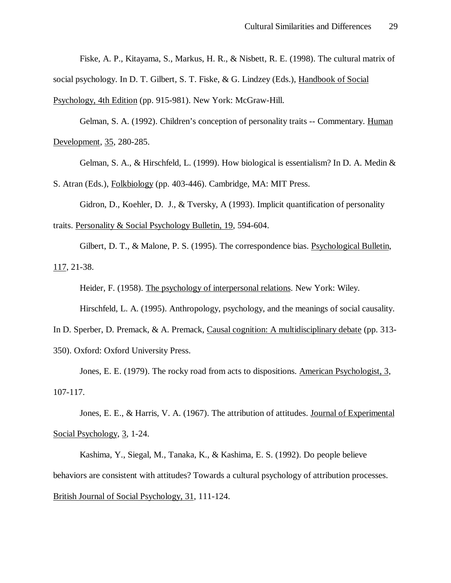Fiske, A. P., Kitayama, S., Markus, H. R., & Nisbett, R. E. (1998). The cultural matrix of

social psychology. In D. T. Gilbert, S. T. Fiske, & G. Lindzey (Eds.), Handbook of Social

Psychology, 4th Edition (pp. 915-981). New York: McGraw-Hill.

Gelman, S. A. (1992). Children's conception of personality traits -- Commentary. Human Development, 35, 280-285.

Gelman, S. A., & Hirschfeld, L. (1999). How biological is essentialism? In D. A. Medin &

S. Atran (Eds.), Folkbiology (pp. 403-446). Cambridge, MA: MIT Press.

Gidron, D., Koehler, D. J., & Tversky, A (1993). Implicit quantification of personality traits. Personality & Social Psychology Bulletin, 19, 594-604.

Gilbert, D. T., & Malone, P. S. (1995). The correspondence bias. Psychological Bulletin, 117, 21-38.

Heider, F. (1958). The psychology of interpersonal relations. New York: Wiley. Hirschfeld, L. A. (1995). Anthropology, psychology, and the meanings of social causality.

In D. Sperber, D. Premack, & A. Premack, Causal cognition: A multidisciplinary debate (pp. 313-

350). Oxford: Oxford University Press.

Jones, E. E. (1979). The rocky road from acts to dispositions. American Psychologist, 3, 107-117.

Jones, E. E., & Harris, V. A. (1967). The attribution of attitudes. Journal of Experimental Social Psychology, 3, 1-24.

Kashima, Y., Siegal, M., Tanaka, K., & Kashima, E. S. (1992). Do people believe behaviors are consistent with attitudes? Towards a cultural psychology of attribution processes. British Journal of Social Psychology, 31, 111-124.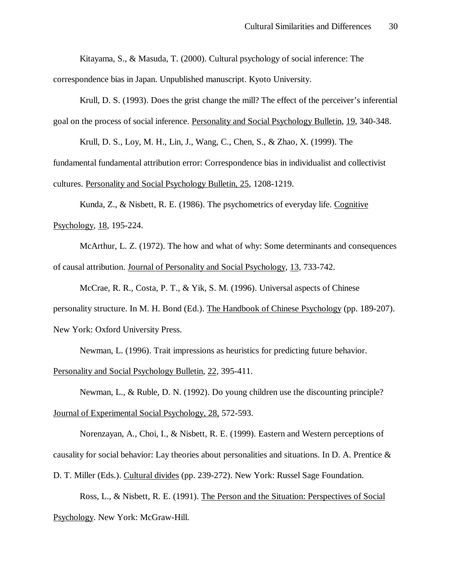Kitayama, S., & Masuda, T. (2000). Cultural psychology of social inference: The correspondence bias in Japan. Unpublished manuscript. Kyoto University.

Krull, D. S. (1993). Does the grist change the mill? The effect of the perceiver's inferential goal on the process of social inference. Personality and Social Psychology Bulletin, 19, 340-348.

Krull, D. S., Loy, M. H., Lin, J., Wang, C., Chen, S., & Zhao, X. (1999). The

fundamental fundamental attribution error: Correspondence bias in individualist and collectivist cultures. Personality and Social Psychology Bulletin, 25, 1208-1219.

Kunda, Z., & Nisbett, R. E. (1986). The psychometrics of everyday life. Cognitive Psychology, 18, 195-224.

McArthur, L. Z. (1972). The how and what of why: Some determinants and consequences of causal attribution. Journal of Personality and Social Psychology, 13, 733-742.

McCrae, R. R., Costa, P. T., & Yik, S. M. (1996). Universal aspects of Chinese personality structure. In M. H. Bond (Ed.). The Handbook of Chinese Psychology (pp. 189-207). New York: Oxford University Press.

Newman, L. (1996). Trait impressions as heuristics for predicting future behavior.

Personality and Social Psychology Bulletin, 22, 395-411.

Newman, L., & Ruble, D. N. (1992). Do young children use the discounting principle? Journal of Experimental Social Psychology, 28, 572-593.

Norenzayan, A., Choi, I., & Nisbett, R. E. (1999). Eastern and Western perceptions of causality for social behavior: Lay theories about personalities and situations. In D. A. Prentice  $\&$ 

D. T. Miller (Eds.). Cultural divides (pp. 239-272). New York: Russel Sage Foundation.

Ross, L., & Nisbett, R. E. (1991). The Person and the Situation: Perspectives of Social Psychology. New York: McGraw-Hill.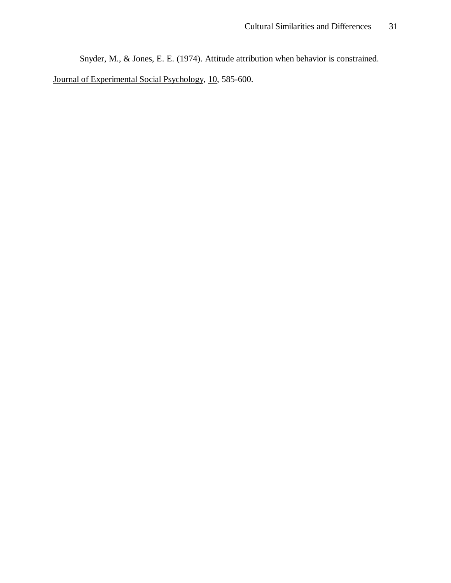Snyder, M., & Jones, E. E. (1974). Attitude attribution when behavior is constrained.

Journal of Experimental Social Psychology, 10, 585-600.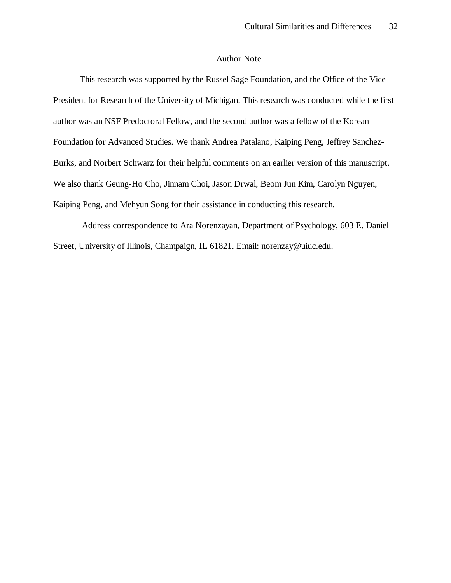# Author Note

This research was supported by the Russel Sage Foundation, and the Office of the Vice President for Research of the University of Michigan. This research was conducted while the first author was an NSF Predoctoral Fellow, and the second author was a fellow of the Korean Foundation for Advanced Studies. We thank Andrea Patalano, Kaiping Peng, Jeffrey Sanchez-Burks, and Norbert Schwarz for their helpful comments on an earlier version of this manuscript. We also thank Geung-Ho Cho, Jinnam Choi, Jason Drwal, Beom Jun Kim, Carolyn Nguyen, Kaiping Peng, and Mehyun Song for their assistance in conducting this research.

 Address correspondence to Ara Norenzayan, Department of Psychology, 603 E. Daniel Street, University of Illinois, Champaign, IL 61821. Email: norenzay@uiuc.edu.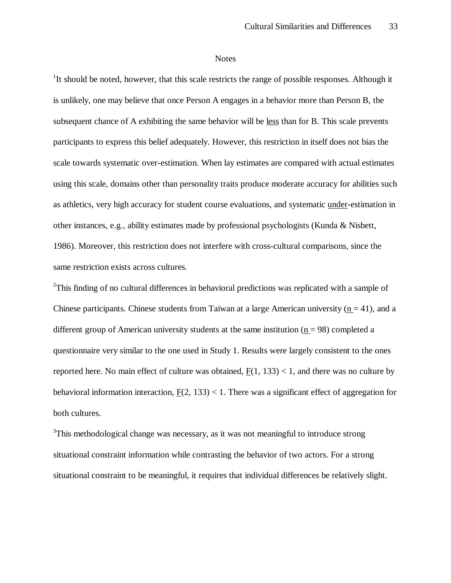#### **Notes**

<sup>1</sup>It should be noted, however, that this scale restricts the range of possible responses. Although it is unlikely, one may believe that once Person A engages in a behavior more than Person B, the subsequent chance of A exhibiting the same behavior will be less than for B. This scale prevents participants to express this belief adequately. However, this restriction in itself does not bias the scale towards systematic over-estimation. When lay estimates are compared with actual estimates using this scale, domains other than personality traits produce moderate accuracy for abilities such as athletics, very high accuracy for student course evaluations, and systematic under-estimation in other instances, e.g., ability estimates made by professional psychologists (Kunda & Nisbett, 1986). Moreover, this restriction does not interfere with cross-cultural comparisons, since the same restriction exists across cultures.

<sup>2</sup>This finding of no cultural differences in behavioral predictions was replicated with a sample of Chinese participants. Chinese students from Taiwan at a large American university ( $n = 41$ ), and a different group of American university students at the same institution ( $n = 98$ ) completed a questionnaire very similar to the one used in Study 1. Results were largely consistent to the ones reported here. No main effect of culture was obtained,  $F(1, 133) < 1$ , and there was no culture by behavioral information interaction,  $F(2, 133) < 1$ . There was a significant effect of aggregation for both cultures.

 $3$ This methodological change was necessary, as it was not meaningful to introduce strong situational constraint information while contrasting the behavior of two actors. For a strong situational constraint to be meaningful, it requires that individual differences be relatively slight.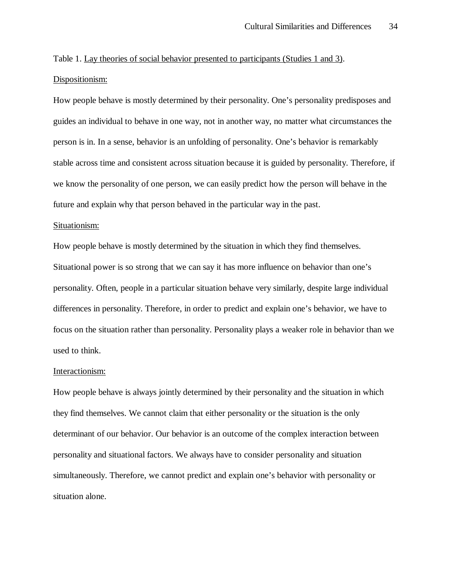Table 1. Lay theories of social behavior presented to participants (Studies 1 and 3). Dispositionism:

How people behave is mostly determined by their personality. One's personality predisposes and guides an individual to behave in one way, not in another way, no matter what circumstances the person is in. In a sense, behavior is an unfolding of personality. One's behavior is remarkably stable across time and consistent across situation because it is guided by personality. Therefore, if we know the personality of one person, we can easily predict how the person will behave in the future and explain why that person behaved in the particular way in the past.

#### Situationism:

How people behave is mostly determined by the situation in which they find themselves. Situational power is so strong that we can say it has more influence on behavior than one's personality. Often, people in a particular situation behave very similarly, despite large individual differences in personality. Therefore, in order to predict and explain one's behavior, we have to focus on the situation rather than personality. Personality plays a weaker role in behavior than we used to think.

#### Interactionism:

How people behave is always jointly determined by their personality and the situation in which they find themselves. We cannot claim that either personality or the situation is the only determinant of our behavior. Our behavior is an outcome of the complex interaction between personality and situational factors. We always have to consider personality and situation simultaneously. Therefore, we cannot predict and explain one's behavior with personality or situation alone.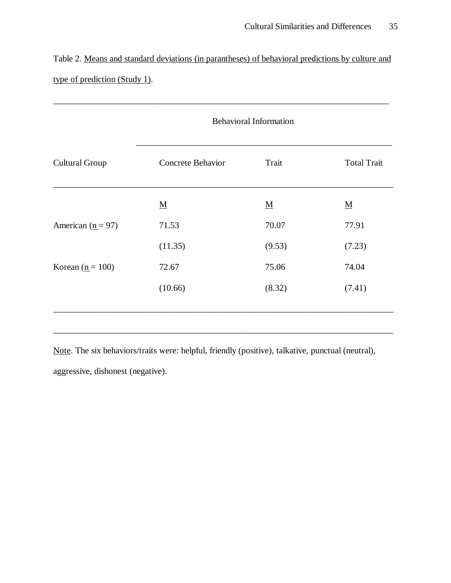Table 2. Means and standard deviations (in parantheses) of behavioral predictions by culture and type of prediction (Study 1).

\_\_\_\_\_\_\_\_\_\_\_\_\_\_\_\_\_\_\_\_\_\_\_\_\_\_\_\_\_\_\_\_\_\_\_\_\_\_\_\_\_\_\_\_\_\_\_\_\_\_\_\_\_\_\_\_\_\_\_\_\_\_\_\_\_\_\_\_\_\_\_\_\_\_\_\_

|                                | <b>Behavioral Information</b> |                          |                          |  |
|--------------------------------|-------------------------------|--------------------------|--------------------------|--|
| <b>Cultural Group</b>          | <b>Concrete Behavior</b>      | Trait                    | <b>Total Trait</b>       |  |
|                                | $\underline{\mathbf{M}}$      | $\underline{\mathbf{M}}$ | $\underline{\mathbf{M}}$ |  |
| American $(n = 97)$            | 71.53                         | 70.07                    | 77.91                    |  |
|                                | (11.35)                       | (9.53)                   | (7.23)                   |  |
| Korean $(\underline{n} = 100)$ | 72.67                         | 75.06                    | 74.04                    |  |
|                                | (10.66)                       | (8.32)                   | (7.41)                   |  |
|                                |                               |                          |                          |  |

Note. The six behaviors/traits were: helpful, friendly (positive), talkative, punctual (neutral),

\_\_\_\_\_\_\_\_\_\_\_\_\_\_\_\_\_\_\_\_\_\_\_\_\_\_\_\_\_\_\_\_\_\_\_\_\_\_\_\_\_\_\_\_\_\_\_\_\_\_\_\_\_\_\_\_\_\_\_\_\_\_\_\_\_\_\_\_\_\_\_\_\_\_\_\_\_

aggressive, dishonest (negative).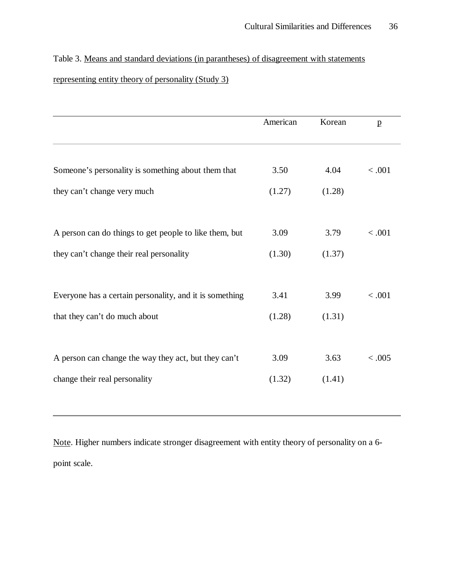Table 3. Means and standard deviations (in parantheses) of disagreement with statements

# representing entity theory of personality (Study 3)

|                                                         | American | Korean | $\mathbf{p}$ |
|---------------------------------------------------------|----------|--------|--------------|
|                                                         |          |        |              |
| Someone's personality is something about them that      | 3.50     | 4.04   | < .001       |
| they can't change very much                             | (1.27)   | (1.28) |              |
|                                                         |          |        |              |
| A person can do things to get people to like them, but  | 3.09     | 3.79   | < .001       |
| they can't change their real personality                | (1.30)   | (1.37) |              |
|                                                         |          |        |              |
| Everyone has a certain personality, and it is something | 3.41     | 3.99   | < .001       |
| that they can't do much about                           | (1.28)   | (1.31) |              |
|                                                         |          |        |              |
| A person can change the way they act, but they can't    | 3.09     | 3.63   | < 0.005      |
| change their real personality                           | (1.32)   | (1.41) |              |

Note. Higher numbers indicate stronger disagreement with entity theory of personality on a 6 point scale.